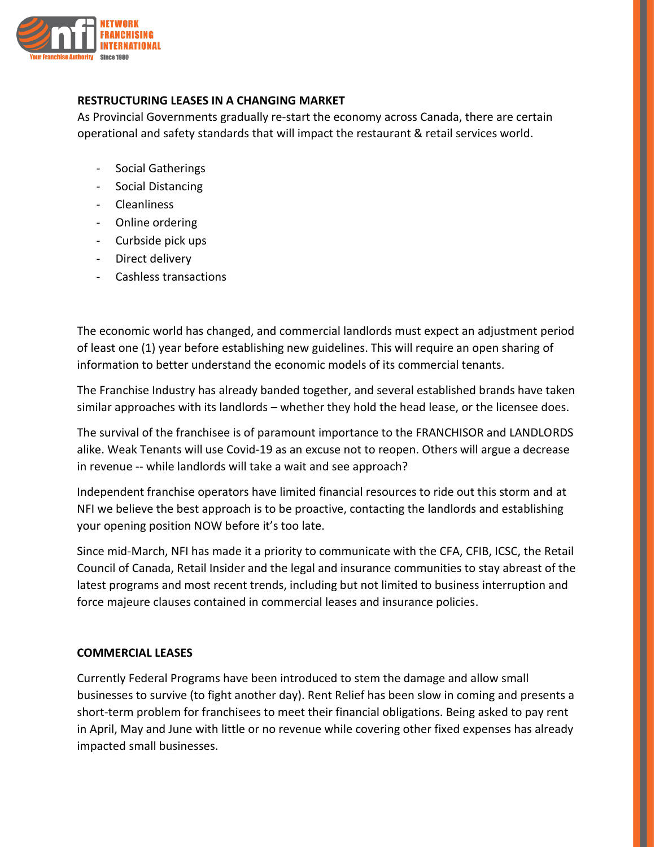

## **RESTRUCTURING LEASES IN A CHANGING MARKET**

As Provincial Governments gradually re-start the economy across Canada, there are certain operational and safety standards that will impact the restaurant & retail services world.

- Social Gatherings
- Social Distancing
- Cleanliness
- Online ordering
- Curbside pick ups
- Direct delivery
- Cashless transactions

The economic world has changed, and commercial landlords must expect an adjustment period of least one (1) year before establishing new guidelines. This will require an open sharing of information to better understand the economic models of its commercial tenants.

The Franchise Industry has already banded together, and several established brands have taken similar approaches with its landlords – whether they hold the head lease, or the licensee does.

The survival of the franchisee is of paramount importance to the FRANCHISOR and LANDLORDS alike. Weak Tenants will use Covid-19 as an excuse not to reopen. Others will argue a decrease in revenue -- while landlords will take a wait and see approach?

Independent franchise operators have limited financial resources to ride out this storm and at NFI we believe the best approach is to be proactive, contacting the landlords and establishing your opening position NOW before it's too late.

Since mid-March, NFI has made it a priority to communicate with the CFA, CFIB, ICSC, the Retail Council of Canada, Retail Insider and the legal and insurance communities to stay abreast of the latest programs and most recent trends, including but not limited to business interruption and force majeure clauses contained in commercial leases and insurance policies.

## **COMMERCIAL LEASES**

Currently Federal Programs have been introduced to stem the damage and allow small businesses to survive (to fight another day). Rent Relief has been slow in coming and presents a short-term problem for franchisees to meet their financial obligations. Being asked to pay rent in April, May and June with little or no revenue while covering other fixed expenses has already impacted small businesses.